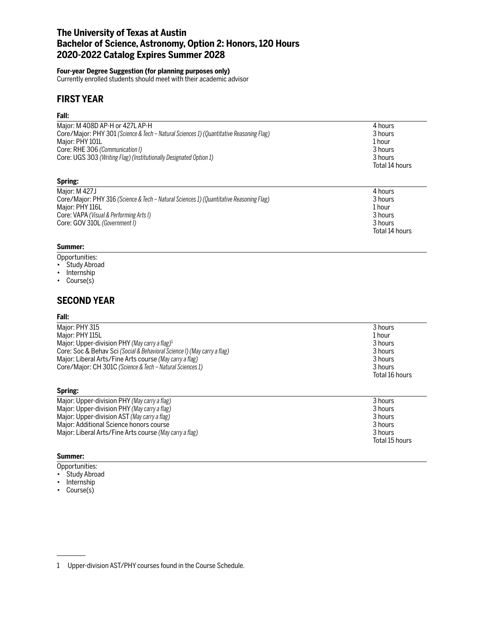# **The University of Texas at Austin Bachelor of Science, Astronomy, Option 2: Honors, 120 Hours 2020-2022 Catalog Expires Summer 2028**

### **Four-year Degree Suggestion (for planning purposes only)**

Currently enrolled students should meet with their academic advisor

# **FIRST YEAR**

#### **Fall:**

| Major: M 408D AP-H or 427L AP-H<br>Core/Major: PHY 301 (Science & Tech – Natural Sciences 1) (Quantitative Reasoning Flag)<br>Major: PHY 101L<br>Core: RHE 306 (Communication I)<br>Core: UGS 303 (Writing Flag) (Institutionally Designated Option 1) | 4 hours<br>3 hours<br>1 hour<br>3 hours<br>3 hours<br>Total 14 hours |
|--------------------------------------------------------------------------------------------------------------------------------------------------------------------------------------------------------------------------------------------------------|----------------------------------------------------------------------|
| Spring:                                                                                                                                                                                                                                                |                                                                      |
| $M$ nior: M $1271$                                                                                                                                                                                                                                     | A hours                                                              |

| Maior: M 427J                                                                           | 4 hours        |
|-----------------------------------------------------------------------------------------|----------------|
| Core/Major: PHY 316 (Science & Tech - Natural Sciences 1) (Quantitative Reasoning Flag) | 3 hours        |
| Major: PHY 116L                                                                         | 1 hour         |
| Core: VAPA (Visual & Performing Arts I)                                                 | 3 hours        |
| Core: GOV 310L (Government I)                                                           | 3 hours        |
|                                                                                         | Total 14 hours |

## **Summer:**

- Opportunities:
- Study Abroad
- Internship
- Course(s)

# **SECOND YEAR**

#### **Fall:**

| Major: PHY 315                                                           | 3 hours        |
|--------------------------------------------------------------------------|----------------|
| Major: PHY 115L                                                          | 1 hour         |
| Major: Upper-division PHY (May carry a flag) <sup>1</sup>                | 3 hours        |
| Core: Soc & Behav Sci (Social & Behavioral Science I) (May carry a flag) | 3 hours        |
| Major: Liberal Arts/Fine Arts course (May carry a flag)                  | 3 hours        |
| Core/Major: CH 301C (Science & Tech - Natural Sciences 1)                | 3 hours        |
|                                                                          | Total 16 hours |
| Spring:                                                                  |                |

| Major: Upper-division PHY (May carry a flag)            | 3 hours        |
|---------------------------------------------------------|----------------|
| Major: Upper-division PHY (May carry a flag)            | 3 hours        |
| Major: Upper-division AST (May carry a flag)            | 3 hours        |
| Major: Additional Science honors course                 | 3 hours        |
| Major: Liberal Arts/Fine Arts course (May carry a flag) | 3 hours        |
|                                                         | Total 15 hours |

## **Summer:**

- Opportunities:
- Study Abroad
- Internship
- Course(s)

<sup>1</sup> Upper-division AST/PHY courses found in the Course Schedule.